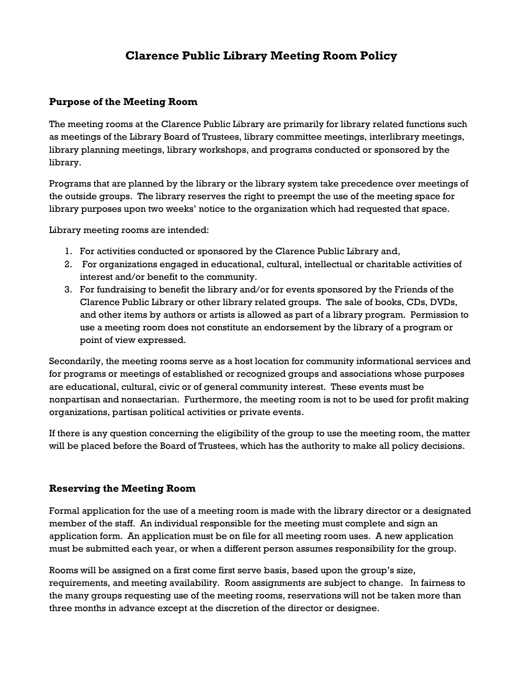# **Clarence Public Library Meeting Room Policy**

## **Purpose of the Meeting Room**

The meeting rooms at the Clarence Public Library are primarily for library related functions such as meetings of the Library Board of Trustees, library committee meetings, interlibrary meetings, library planning meetings, library workshops, and programs conducted or sponsored by the library.

Programs that are planned by the library or the library system take precedence over meetings of the outside groups. The library reserves the right to preempt the use of the meeting space for library purposes upon two weeks' notice to the organization which had requested that space.

Library meeting rooms are intended:

- 1. For activities conducted or sponsored by the Clarence Public Library and,
- 2. For organizations engaged in educational, cultural, intellectual or charitable activities of interest and/or benefit to the community.
- 3. For fundraising to benefit the library and/or for events sponsored by the Friends of the Clarence Public Library or other library related groups. The sale of books, CDs, DVDs, and other items by authors or artists is allowed as part of a library program. Permission to use a meeting room does not constitute an endorsement by the library of a program or point of view expressed.

Secondarily, the meeting rooms serve as a host location for community informational services and for programs or meetings of established or recognized groups and associations whose purposes are educational, cultural, civic or of general community interest. These events must be nonpartisan and nonsectarian. Furthermore, the meeting room is not to be used for profit making organizations, partisan political activities or private events.

If there is any question concerning the eligibility of the group to use the meeting room, the matter will be placed before the Board of Trustees, which has the authority to make all policy decisions.

#### **Reserving the Meeting Room**

Formal application for the use of a meeting room is made with the library director or a designated member of the staff. An individual responsible for the meeting must complete and sign an application form. An application must be on file for all meeting room uses. A new application must be submitted each year, or when a different person assumes responsibility for the group.

Rooms will be assigned on a first come first serve basis, based upon the group's size, requirements, and meeting availability. Room assignments are subject to change. In fairness to the many groups requesting use of the meeting rooms, reservations will not be taken more than three months in advance except at the discretion of the director or designee.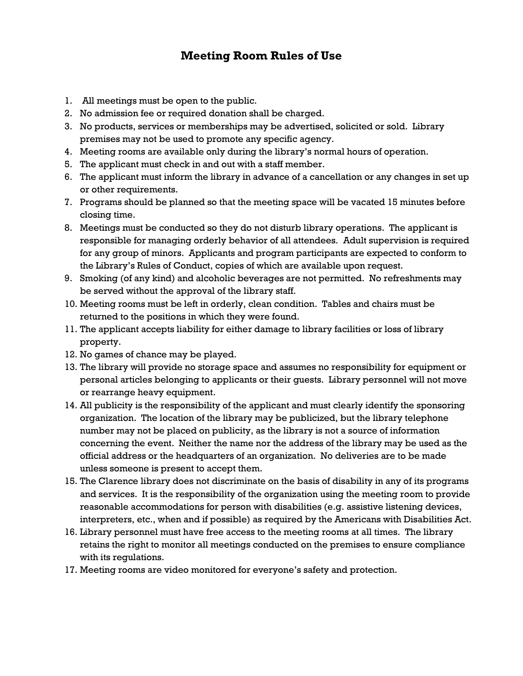## **Meeting Room Rules of Use**

- 1. All meetings must be open to the public.
- 2. No admission fee or required donation shall be charged.
- 3. No products, services or memberships may be advertised, solicited or sold. Library premises may not be used to promote any specific agency.
- 4. Meeting rooms are available only during the library's normal hours of operation.
- 5. The applicant must check in and out with a staff member.
- 6. The applicant must inform the library in advance of a cancellation or any changes in set up or other requirements.
- 7. Programs should be planned so that the meeting space will be vacated 15 minutes before closing time.
- 8. Meetings must be conducted so they do not disturb library operations. The applicant is responsible for managing orderly behavior of all attendees. Adult supervision is required for any group of minors. Applicants and program participants are expected to conform to the Library's Rules of Conduct, copies of which are available upon request.
- 9. Smoking (of any kind) and alcoholic beverages are not permitted. No refreshments may be served without the approval of the library staff.
- 10. Meeting rooms must be left in orderly, clean condition. Tables and chairs must be returned to the positions in which they were found.
- 11. The applicant accepts liability for either damage to library facilities or loss of library property.
- 12. No games of chance may be played.
- 13. The library will provide no storage space and assumes no responsibility for equipment or personal articles belonging to applicants or their guests. Library personnel will not move or rearrange heavy equipment.
- 14. All publicity is the responsibility of the applicant and must clearly identify the sponsoring organization. The location of the library may be publicized, but the library telephone number may not be placed on publicity, as the library is not a source of information concerning the event. Neither the name nor the address of the library may be used as the official address or the headquarters of an organization. No deliveries are to be made unless someone is present to accept them.
- 15. The Clarence library does not discriminate on the basis of disability in any of its programs and services. It is the responsibility of the organization using the meeting room to provide reasonable accommodations for person with disabilities (e.g. assistive listening devices, interpreters, etc., when and if possible) as required by the Americans with Disabilities Act.
- 16. Library personnel must have free access to the meeting rooms at all times. The library retains the right to monitor all meetings conducted on the premises to ensure compliance with its regulations.
- 17. Meeting rooms are video monitored for everyone's safety and protection.